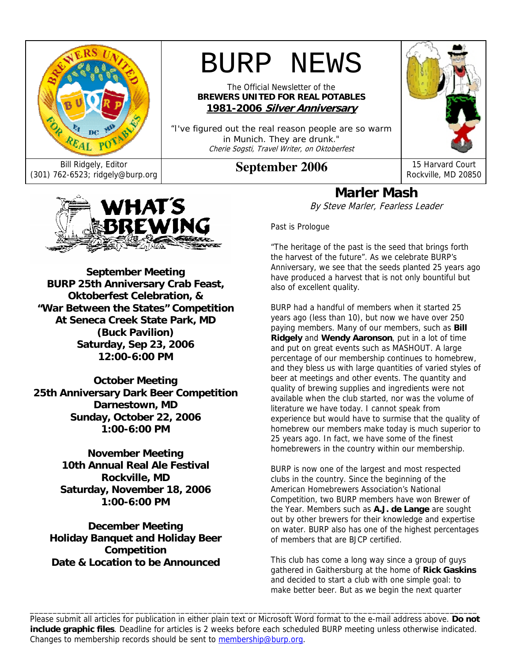

# BURP NEWS

The Official Newsletter of the **BREWERS UNITED FOR REAL POTABLES 1981-2006 Silver Anniversary**

"I've figured out the real reason people are so warm in Munich. They are drunk." Cherie Sogsti, Travel Writer, on Oktoberfest



WHAT'S BREWING ARTISTS OF

**September Meeting BURP 25th Anniversary Crab Feast, Oktoberfest Celebration, & "War Between the States" Competition At Seneca Creek State Park, MD (Buck Pavilion) Saturday, Sep 23, 2006 12:00-6:00 PM** 

**October Meeting 25th Anniversary Dark Beer Competition Darnestown, MD Sunday, October 22, 2006 1:00-6:00 PM** 

> **November Meeting 10th Annual Real Ale Festival Rockville, MD Saturday, November 18, 2006 1:00-6:00 PM**

**December Meeting Holiday Banquet and Holiday Beer Competition Date & Location to be Announced** 

**Marler Mash** 

By Steve Marler, Fearless Leader

Past is Prologue

"The heritage of the past is the seed that brings forth the harvest of the future". As we celebrate BURP's Anniversary, we see that the seeds planted 25 years ago have produced a harvest that is not only bountiful but also of excellent quality.

BURP had a handful of members when it started 25 years ago (less than 10), but now we have over 250 paying members. Many of our members, such as **Bill Ridgely** and **Wendy Aaronson**, put in a lot of time and put on great events such as MASHOUT. A large percentage of our membership continues to homebrew, and they bless us with large quantities of varied styles of beer at meetings and other events. The quantity and quality of brewing supplies and ingredients were not available when the club started, nor was the volume of literature we have today. I cannot speak from experience but would have to surmise that the quality of homebrew our members make today is much superior to 25 years ago. In fact, we have some of the finest homebrewers in the country within our membership.

BURP is now one of the largest and most respected clubs in the country. Since the beginning of the American Homebrewers Association's National Competition, two BURP members have won Brewer of the Year. Members such as **A.J. de Lange** are sought out by other brewers for their knowledge and expertise on water. BURP also has one of the highest percentages of members that are BJCP certified.

This club has come a long way since a group of guys gathered in Gaithersburg at the home of **Rick Gaskins** and decided to start a club with one simple goal: to make better beer. But as we begin the next quarter

Please submit all articles for publication in either plain text or Microsoft Word format to the e-mail address above. **Do not include graphic files**. Deadline for articles is 2 weeks before each scheduled BURP meeting unless otherwise indicated. Changes to membership records should be sent to membership@burp.org.

\_\_\_\_\_\_\_\_\_\_\_\_\_\_\_\_\_\_\_\_\_\_\_\_\_\_\_\_\_\_\_\_\_\_\_\_\_\_\_\_\_\_\_\_\_\_\_\_\_\_\_\_\_\_\_\_\_\_\_\_\_\_\_\_\_\_\_\_\_\_\_\_\_\_\_\_\_\_\_\_\_\_\_\_\_\_\_\_\_\_\_\_\_\_\_\_\_\_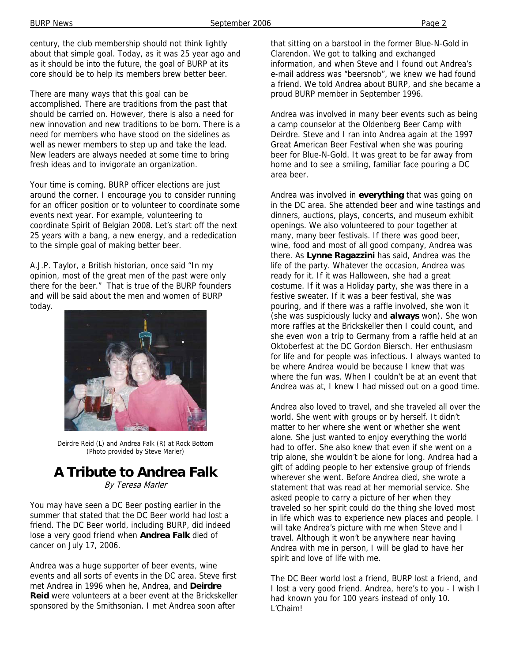century, the club membership should not think lightly about that simple goal. Today, as it was 25 year ago and as it should be into the future, the goal of BURP at its core should be to help its members brew better beer.

There are many ways that this goal can be accomplished. There are traditions from the past that should be carried on. However, there is also a need for new innovation and new traditions to be born. There is a need for members who have stood on the sidelines as well as newer members to step up and take the lead. New leaders are always needed at some time to bring fresh ideas and to invigorate an organization.

Your time is coming. BURP officer elections are just around the corner. I encourage you to consider running for an officer position or to volunteer to coordinate some events next year. For example, volunteering to coordinate Spirit of Belgian 2008. Let's start off the next 25 years with a bang, a new energy, and a rededication to the simple goal of making better beer.

A.J.P. Taylor, a British historian, once said "In my opinion, most of the great men of the past were only there for the beer." That is true of the BURP founders and will be said about the men and women of BURP today.



Deirdre Reid (L) and Andrea Falk (R) at Rock Bottom (Photo provided by Steve Marler)

# **A Tribute to Andrea Falk**

By Teresa Marler

You may have seen a DC Beer posting earlier in the summer that stated that the DC Beer world had lost a friend. The DC Beer world, including BURP, did indeed lose a very good friend when **Andrea Falk** died of cancer on July 17, 2006.

Andrea was a huge supporter of beer events, wine events and all sorts of events in the DC area. Steve first met Andrea in 1996 when he, Andrea, and **Deirdre Reid** were volunteers at a beer event at the Brickskeller sponsored by the Smithsonian. I met Andrea soon after

that sitting on a barstool in the former Blue-N-Gold in Clarendon. We got to talking and exchanged information, and when Steve and I found out Andrea's e-mail address was "beersnob", we knew we had found a friend. We told Andrea about BURP, and she became a proud BURP member in September 1996.

Andrea was involved in many beer events such as being a camp counselor at the Oldenberg Beer Camp with Deirdre. Steve and I ran into Andrea again at the 1997 Great American Beer Festival when she was pouring beer for Blue-N-Gold. It was great to be far away from home and to see a smiling, familiar face pouring a DC area beer.

Andrea was involved in **everything** that was going on in the DC area. She attended beer and wine tastings and dinners, auctions, plays, concerts, and museum exhibit openings. We also volunteered to pour together at many, many beer festivals. If there was good beer, wine, food and most of all good company, Andrea was there. As **Lynne Ragazzini** has said, Andrea was the life of the party. Whatever the occasion, Andrea was ready for it. If it was Halloween, she had a great costume. If it was a Holiday party, she was there in a festive sweater. If it was a beer festival, she was pouring, and if there was a raffle involved, she won it (she was suspiciously lucky and **always** won). She won more raffles at the Brickskeller then I could count, and she even won a trip to Germany from a raffle held at an Oktoberfest at the DC Gordon Biersch. Her enthusiasm for life and for people was infectious. I always wanted to be where Andrea would be because I knew that was where the fun was. When I couldn't be at an event that Andrea was at, I knew I had missed out on a good time.

Andrea also loved to travel, and she traveled all over the world. She went with groups or by herself. It didn't matter to her where she went or whether she went alone. She just wanted to enjoy everything the world had to offer. She also knew that even if she went on a trip alone, she wouldn't be alone for long. Andrea had a gift of adding people to her extensive group of friends wherever she went. Before Andrea died, she wrote a statement that was read at her memorial service. She asked people to carry a picture of her when they traveled so her spirit could do the thing she loved most in life which was to experience new places and people. I will take Andrea's picture with me when Steve and I travel. Although it won't be anywhere near having Andrea with me in person, I will be glad to have her spirit and love of life with me.

The DC Beer world lost a friend, BURP lost a friend, and I lost a very good friend. Andrea, here's to you - I wish I had known you for 100 years instead of only 10. L'Chaim!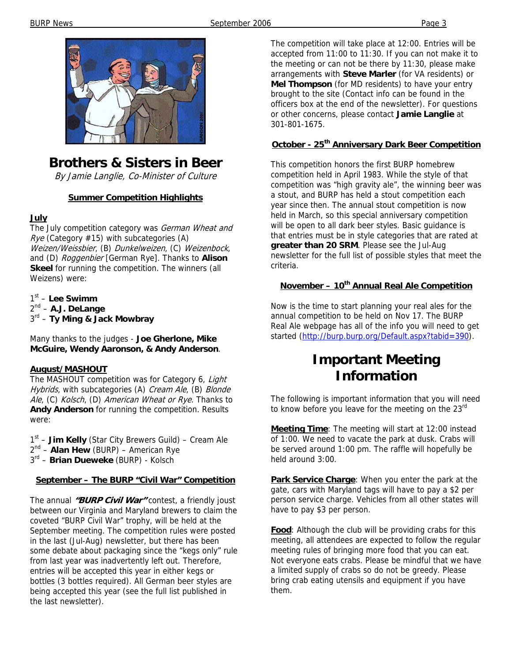

# **Brothers & Sisters in Beer**

By Jamie Langlie, Co-Minister of Culture

#### **Summer Competition Highlights**

#### **July**

The July competition category was German Wheat and  $Rye$  (Category #15) with subcategories (A) Weizen/Weissbier, (B) Dunkelweizen, (C) Weizenbock, and (D) Roggenbier [German Rye]. Thanks to **Alison Skeel** for running the competition. The winners (all Weizens) were:

1st – **Lee Swimm** 2nd – **A.J. DeLange** 3rd – **Ty Ming & Jack Mowbray**

Many thanks to the judges - **Joe Gherlone, Mike McGuire, Wendy Aaronson, & Andy Anderson**.

#### **August/MASHOUT**

The MASHOUT competition was for Category 6, Light Hybrids, with subcategories (A) Cream Ale, (B) Blonde Ale, (C) Kolsch, (D) American Wheat or Rye. Thanks to **Andy Anderson** for running the competition. Results were:

1st – **Jim Kelly** (Star City Brewers Guild) – Cream Ale 2nd – **Alan Hew** (BURP) – American Rye 3rd – **Brian Dueweke** (BURP) - Kolsch

#### **September – The BURP "Civil War" Competition**

The annual **"BURP Civil War"** contest, a friendly joust between our Virginia and Maryland brewers to claim the coveted "BURP Civil War" trophy, will be held at the September meeting. The competition rules were posted in the last (Jul-Aug) newsletter, but there has been some debate about packaging since the "kegs only" rule from last year was inadvertently left out. Therefore, entries will be accepted this year in either kegs or bottles (3 bottles required). All German beer styles are being accepted this year (see the full list published in the last newsletter).

The competition will take place at 12:00. Entries will be accepted from 11:00 to 11:30. If you can not make it to the meeting or can not be there by 11:30, please make arrangements with **Steve Marler** (for VA residents) or **Mel Thompson** (for MD residents) to have your entry brought to the site (Contact info can be found in the officers box at the end of the newsletter). For questions or other concerns, please contact **Jamie Langlie** at 301-801-1675.

#### **October - 25th Anniversary Dark Beer Competition**

This competition honors the first BURP homebrew competition held in April 1983. While the style of that competition was "high gravity ale", the winning beer was a stout, and BURP has held a stout competition each year since then. The annual stout competition is now held in March, so this special anniversary competition will be open to all dark beer styles. Basic guidance is that entries must be in style categories that are rated at **greater than 20 SRM**. Please see the Jul-Aug newsletter for the full list of possible styles that meet the criteria.

#### **November – 10<sup>th</sup> Annual Real Ale Competition**

Now is the time to start planning your real ales for the annual competition to be held on Nov 17. The BURP Real Ale webpage has all of the info you will need to get started (http://burp.burp.org/Default.aspx?tabid=390).

### **Important Meeting Information**

The following is important information that you will need to know before you leave for the meeting on the 23<sup>rd</sup>

**Meeting Time**: The meeting will start at 12:00 instead of 1:00. We need to vacate the park at dusk. Crabs will be served around 1:00 pm. The raffle will hopefully be held around 3:00.

**Park Service Charge**: When you enter the park at the gate, cars with Maryland tags will have to pay a \$2 per person service charge. Vehicles from all other states will have to pay \$3 per person.

**Food**: Although the club will be providing crabs for this meeting, all attendees are expected to follow the regular meeting rules of bringing more food that you can eat. Not everyone eats crabs. Please be mindful that we have a limited supply of crabs so do not be greedy. Please bring crab eating utensils and equipment if you have them.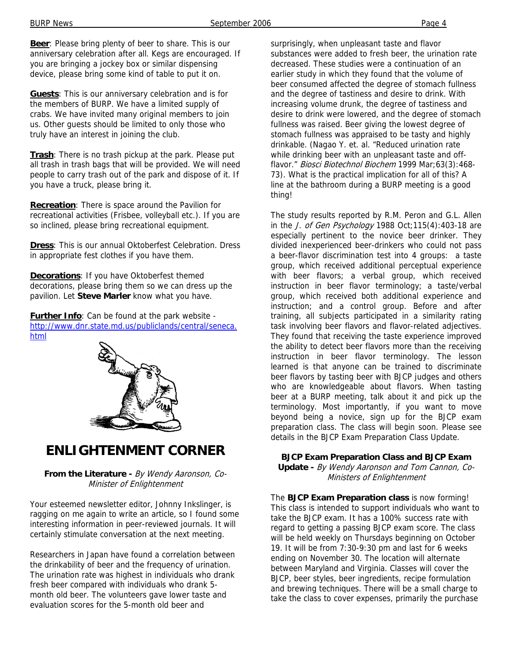**Beer**: Please bring plenty of beer to share. This is our anniversary celebration after all. Kegs are encouraged. If you are bringing a jockey box or similar dispensing device, please bring some kind of table to put it on.

**Guests**: This is our anniversary celebration and is for the members of BURP. We have a limited supply of crabs. We have invited many original members to join us. Other guests should be limited to only those who truly have an interest in joining the club.

**Trash**: There is no trash pickup at the park. Please put all trash in trash bags that will be provided. We will need people to carry trash out of the park and dispose of it. If you have a truck, please bring it.

**Recreation**: There is space around the Pavilion for recreational activities (Frisbee, volleyball etc.). If you are so inclined, please bring recreational equipment.

**Dress**: This is our annual Oktoberfest Celebration. Dress in appropriate fest clothes if you have them.

**Decorations**: If you have Oktoberfest themed decorations, please bring them so we can dress up the pavilion. Let **Steve Marler** know what you have.

**Further Info**: Can be found at the park website http://www.dnr.state.md.us/publiclands/central/seneca. html



### **ENLIGHTENMENT CORNER**

**From the Literature -** By Wendy Aaronson, Co-Minister of Enlightenment

Your esteemed newsletter editor, Johnny Inkslinger, is ragging on me again to write an article, so I found some interesting information in peer-reviewed journals. It will certainly stimulate conversation at the next meeting.

Researchers in Japan have found a correlation between the drinkability of beer and the frequency of urination. The urination rate was highest in individuals who drank fresh beer compared with individuals who drank 5 month old beer. The volunteers gave lower taste and evaluation scores for the 5-month old beer and

surprisingly, when unpleasant taste and flavor substances were added to fresh beer, the urination rate decreased. These studies were a continuation of an earlier study in which they found that the volume of beer consumed affected the degree of stomach fullness and the degree of tastiness and desire to drink. With increasing volume drunk, the degree of tastiness and desire to drink were lowered, and the degree of stomach fullness was raised. Beer giving the lowest degree of stomach fullness was appraised to be tasty and highly drinkable. (Nagao Y. et. al. "Reduced urination rate while drinking beer with an unpleasant taste and offflavor." Biosci Biotechnol Biochem 1999 Mar;63(3):468-73). What is the practical implication for all of this? A line at the bathroom during a BURP meeting is a good thing!

The study results reported by R.M. Peron and G.L. Allen in the J. of Gen Psychology 1988 Oct; 115(4): 403-18 are especially pertinent to the novice beer drinker. They divided inexperienced beer-drinkers who could not pass a beer-flavor discrimination test into 4 groups: a taste group, which received additional perceptual experience with beer flavors; a verbal group, which received instruction in beer flavor terminology; a taste/verbal group, which received both additional experience and instruction; and a control group. Before and after training, all subjects participated in a similarity rating task involving beer flavors and flavor-related adjectives. They found that receiving the taste experience improved the ability to detect beer flavors more than the receiving instruction in beer flavor terminology. The lesson learned is that anyone can be trained to discriminate beer flavors by tasting beer with BJCP judges and others who are knowledgeable about flavors. When tasting beer at a BURP meeting, talk about it and pick up the terminology. Most importantly, if you want to move beyond being a novice, sign up for the BJCP exam preparation class. The class will begin soon. Please see details in the BJCP Exam Preparation Class Update.

#### **BJCP Exam Preparation Class and BJCP Exam**

**Update -** By Wendy Aaronson and Tom Cannon, Co-Ministers of Enlightenment

The **BJCP Exam Preparation class** is now forming! This class is intended to support individuals who want to take the BJCP exam. It has a 100% success rate with regard to getting a passing BJCP exam score. The class will be held weekly on Thursdays beginning on October 19. It will be from 7:30-9:30 pm and last for 6 weeks ending on November 30. The location will alternate between Maryland and Virginia. Classes will cover the BJCP, beer styles, beer ingredients, recipe formulation and brewing techniques. There will be a small charge to take the class to cover expenses, primarily the purchase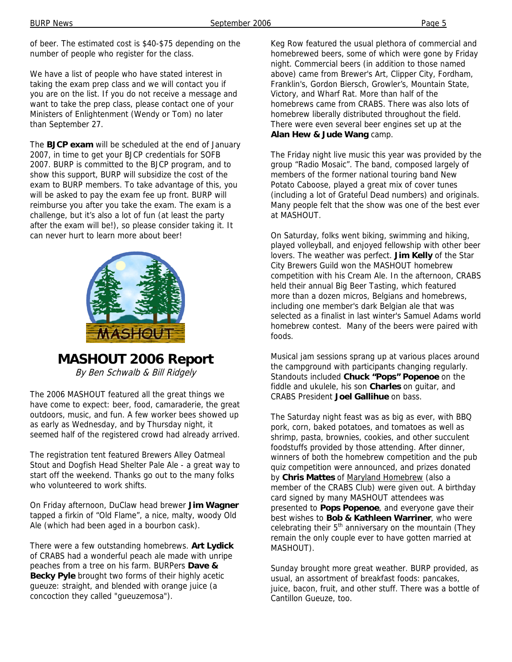of beer. The estimated cost is \$40-\$75 depending on the number of people who register for the class.

We have a list of people who have stated interest in taking the exam prep class and we will contact you if you are on the list. If you do not receive a message and want to take the prep class, please contact one of your Ministers of Enlightenment (Wendy or Tom) no later than September 27.

The **BJCP exam** will be scheduled at the end of January 2007, in time to get your BJCP credentials for SOFB 2007. BURP is committed to the BJCP program, and to show this support, BURP will subsidize the cost of the exam to BURP members. To take advantage of this, you will be asked to pay the exam fee up front. BURP will reimburse you after you take the exam. The exam is a challenge, but it's also a lot of fun (at least the party after the exam will be!), so please consider taking it. It can never hurt to learn more about beer!



**MASHOUT 2006 Report**

By Ben Schwalb & Bill Ridgely

The 2006 MASHOUT featured all the great things we have come to expect: beer, food, camaraderie, the great outdoors, music, and fun. A few worker bees showed up as early as Wednesday, and by Thursday night, it seemed half of the registered crowd had already arrived.

The registration tent featured Brewers Alley Oatmeal Stout and Dogfish Head Shelter Pale Ale - a great way to start off the weekend. Thanks go out to the many folks who volunteered to work shifts.

On Friday afternoon, DuClaw head brewer **Jim Wagner** tapped a firkin of "Old Flame", a nice, malty, woody Old Ale (which had been aged in a bourbon cask).

There were a few outstanding homebrews. **Art Lydick** of CRABS had a wonderful peach ale made with unripe peaches from a tree on his farm. BURPers **Dave & Becky Pyle** brought two forms of their highly acetic gueuze: straight, and blended with orange juice (a concoction they called "gueuzemosa").

Keg Row featured the usual plethora of commercial and homebrewed beers, some of which were gone by Friday night. Commercial beers (in addition to those named above) came from Brewer's Art, Clipper City, Fordham, Franklin's, Gordon Biersch, Growler's, Mountain State, Victory, and Wharf Rat. More than half of the homebrews came from CRABS. There was also lots of homebrew liberally distributed throughout the field. There were even several beer engines set up at the **Alan Hew & Jude Wang** camp.

The Friday night live music this year was provided by the group "Radio Mosaic". The band, composed largely of members of the former national touring band New Potato Caboose, played a great mix of cover tunes (including a lot of Grateful Dead numbers) and originals. Many people felt that the show was one of the best ever at MASHOUT.

On Saturday, folks went biking, swimming and hiking, played volleyball, and enjoyed fellowship with other beer lovers. The weather was perfect. **Jim Kelly** of the Star City Brewers Guild won the MASHOUT homebrew competition with his Cream Ale. In the afternoon, CRABS held their annual Big Beer Tasting, which featured more than a dozen micros, Belgians and homebrews, including one member's dark Belgian ale that was selected as a finalist in last winter's Samuel Adams world homebrew contest. Many of the beers were paired with foods.

Musical jam sessions sprang up at various places around the campground with participants changing regularly. Standouts included **Chuck "Pops" Popenoe** on the fiddle and ukulele, his son **Charles** on guitar, and CRABS President **Joel Gallihue** on bass.

The Saturday night feast was as big as ever, with BBQ pork, corn, baked potatoes, and tomatoes as well as shrimp, pasta, brownies, cookies, and other succulent foodstuffs provided by those attending. After dinner, winners of both the homebrew competition and the pub quiz competition were announced, and prizes donated by **Chris Mattes** of Maryland Homebrew (also a member of the CRABS Club) were given out. A birthday card signed by many MASHOUT attendees was presented to **Pops Popenoe**, and everyone gave their best wishes to **Bob & Kathleen Warriner**, who were celebrating their  $5<sup>th</sup>$  anniversary on the mountain (They remain the only couple ever to have gotten married at MASHOUT).

Sunday brought more great weather. BURP provided, as usual, an assortment of breakfast foods: pancakes, juice, bacon, fruit, and other stuff. There was a bottle of Cantillon Gueuze, too.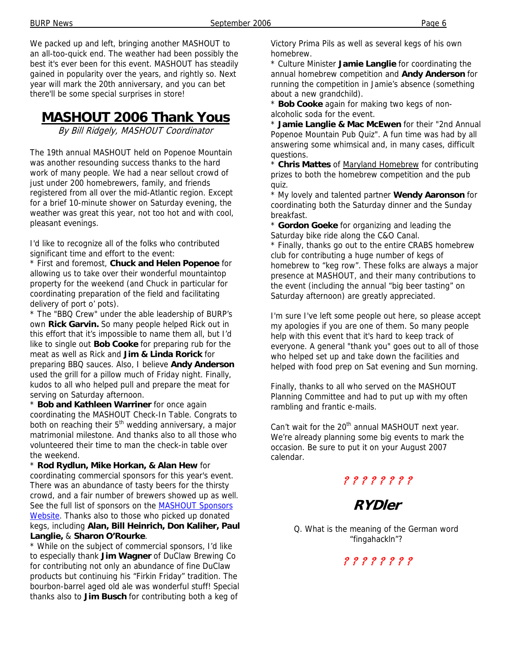We packed up and left, bringing another MASHOUT to an all-too-quick end. The weather had been possibly the best it's ever been for this event. MASHOUT has steadily gained in popularity over the years, and rightly so. Next year will mark the 20th anniversary, and you can bet there'll be some special surprises in store!

# **MASHOUT 2006 Thank Yous**

By Bill Ridgely, MASHOUT Coordinator

The 19th annual MASHOUT held on Popenoe Mountain was another resounding success thanks to the hard work of many people. We had a near sellout crowd of just under 200 homebrewers, family, and friends registered from all over the mid-Atlantic region. Except for a brief 10-minute shower on Saturday evening, the weather was great this year, not too hot and with cool, pleasant evenings.

I'd like to recognize all of the folks who contributed significant time and effort to the event:

\* First and foremost, **Chuck and Helen Popenoe** for allowing us to take over their wonderful mountaintop property for the weekend (and Chuck in particular for coordinating preparation of the field and facilitating delivery of port o' pots).

\* The "BBQ Crew" under the able leadership of BURP's own **Rick Garvin.** So many people helped Rick out in this effort that it's impossible to name them all, but I'd like to single out **Bob Cooke** for preparing rub for the meat as well as Rick and **Jim & Linda Rorick** for preparing BBQ sauces. Also, I believe **Andy Anderson**  used the grill for a pillow much of Friday night. Finally, kudos to all who helped pull and prepare the meat for serving on Saturday afternoon.

\* **Bob and Kathleen Warriner** for once again coordinating the MASHOUT Check-In Table. Congrats to both on reaching their 5<sup>th</sup> wedding anniversary, a major matrimonial milestone. And thanks also to all those who volunteered their time to man the check-in table over the weekend.

\* **Rod Rydlun, Mike Horkan, & Alan Hew** for coordinating commercial sponsors for this year's event. There was an abundance of tasty beers for the thirsty crowd, and a fair number of brewers showed up as well. See the full list of sponsors on the **MASHOUT Sponsors** Website. Thanks also to those who picked up donated kegs, including **Alan, Bill Heinrich, Don Kaliher, Paul Langlie,** & **Sharon O'Rourke**.

\* While on the subject of commercial sponsors, I'd like to especially thank **Jim Wagner** of DuClaw Brewing Co for contributing not only an abundance of fine DuClaw products but continuing his "Firkin Friday" tradition. The bourbon-barrel aged old ale was wonderful stuff! Special thanks also to **Jim Busch** for contributing both a keg of

Victory Prima Pils as well as several kegs of his own homebrew.

\* Culture Minister **Jamie Langlie** for coordinating the annual homebrew competition and **Andy Anderson** for running the competition in Jamie's absence (something about a new grandchild).

\* **Bob Cooke** again for making two kegs of nonalcoholic soda for the event.

\* **Jamie Langlie & Mac McEwen** for their "2nd Annual Popenoe Mountain Pub Quiz". A fun time was had by all answering some whimsical and, in many cases, difficult questions.

\* **Chris Mattes** of Maryland Homebrew for contributing prizes to both the homebrew competition and the pub quiz.

\* My lovely and talented partner **Wendy Aaronson** for coordinating both the Saturday dinner and the Sunday breakfast.

\* **Gordon Goeke** for organizing and leading the Saturday bike ride along the C&O Canal.

\* Finally, thanks go out to the entire CRABS homebrew club for contributing a huge number of kegs of homebrew to "keg row". These folks are always a major presence at MASHOUT, and their many contributions to the event (including the annual "big beer tasting" on Saturday afternoon) are greatly appreciated.

I'm sure I've left some people out here, so please accept my apologies if you are one of them. So many people help with this event that it's hard to keep track of everyone. A general "thank you" goes out to all of those who helped set up and take down the facilities and helped with food prep on Sat evening and Sun morning.

Finally, thanks to all who served on the MASHOUT Planning Committee and had to put up with my often rambling and frantic e-mails.

Can't wait for the  $20<sup>th</sup>$  annual MASHOUT next year. We're already planning some big events to mark the occasion. Be sure to put it on your August 2007 calendar.

? ? ? ? ? ? ? ?

## **RYDler**

Q. What is the meaning of the German word "fingahackln"?

### ? ? ? ? ? ? ? ?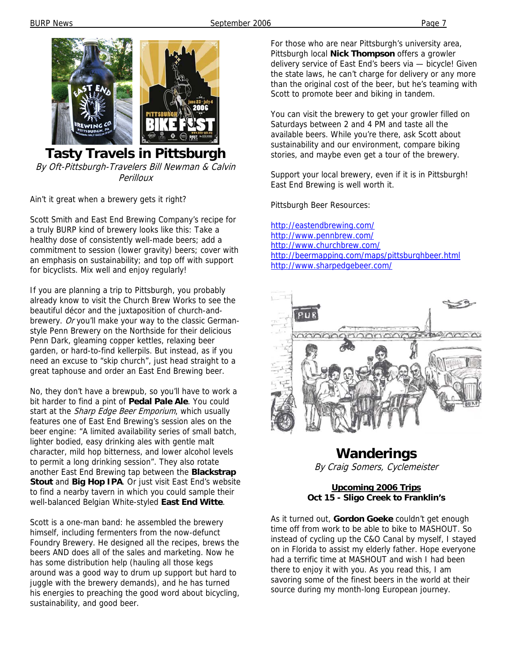

#### **Tasty Travels in Pittsburgh**  By Oft-Pittsburgh-Travelers Bill Newman & Calvin **Perilloux**

Ain't it great when a brewery gets it right?

Scott Smith and East End Brewing Company's recipe for a truly BURP kind of brewery looks like this: Take a healthy dose of consistently well-made beers; add a commitment to session (lower gravity) beers; cover with an emphasis on sustainability; and top off with support for bicyclists. Mix well and enjoy regularly!

If you are planning a trip to Pittsburgh, you probably already know to visit the Church Brew Works to see the beautiful décor and the juxtaposition of church-andbrewery. Or you'll make your way to the classic Germanstyle Penn Brewery on the Northside for their delicious Penn Dark, gleaming copper kettles, relaxing beer garden, or hard-to-find kellerpils. But instead, as if you need an excuse to "skip church", just head straight to a great taphouse and order an East End Brewing beer.

No, they don't have a brewpub, so you'll have to work a bit harder to find a pint of **Pedal Pale Ale**. You could start at the Sharp Edge Beer Emporium, which usually features one of East End Brewing's session ales on the beer engine: "A limited availability series of small batch, lighter bodied, easy drinking ales with gentle malt character, mild hop bitterness, and lower alcohol levels to permit a long drinking session". They also rotate another East End Brewing tap between the **Blackstrap Stout** and **Big Hop IPA**. Or just visit East End's website to find a nearby tavern in which you could sample their well-balanced Belgian White-styled **East End Witte**.

Scott is a one-man band: he assembled the brewery himself, including fermenters from the now-defunct Foundry Brewery. He designed all the recipes, brews the beers AND does all of the sales and marketing. Now he has some distribution help (hauling all those kegs around was a good way to drum up support but hard to juggle with the brewery demands), and he has turned his energies to preaching the good word about bicycling, sustainability, and good beer.

For those who are near Pittsburgh's university area, Pittsburgh local **Nick Thompson** offers a growler delivery service of East End's beers via — bicycle! Given the state laws, he can't charge for delivery or any more than the original cost of the beer, but he's teaming with Scott to promote beer and biking in tandem.

You can visit the brewery to get your growler filled on Saturdays between 2 and 4 PM and taste all the available beers. While you're there, ask Scott about sustainability and our environment, compare biking stories, and maybe even get a tour of the brewery.

Support your local brewery, even if it is in Pittsburgh! East End Brewing is well worth it.

Pittsburgh Beer Resources:

http://eastendbrewing.com/ http://www.pennbrew.com/ http://www.churchbrew.com/ http://beermapping.com/maps/pittsburghbeer.html http://www.sharpedgebeer.com/



# **Wanderings**

By Craig Somers, Cyclemeister

#### **Upcoming 2006 Trips Oct 15 - Sligo Creek to Franklin's**

As it turned out, **Gordon Goeke** couldn't get enough time off from work to be able to bike to MASHOUT. So instead of cycling up the C&O Canal by myself, I stayed on in Florida to assist my elderly father. Hope everyone had a terrific time at MASHOUT and wish I had been there to enjoy it with you. As you read this, I am savoring some of the finest beers in the world at their source during my month-long European journey.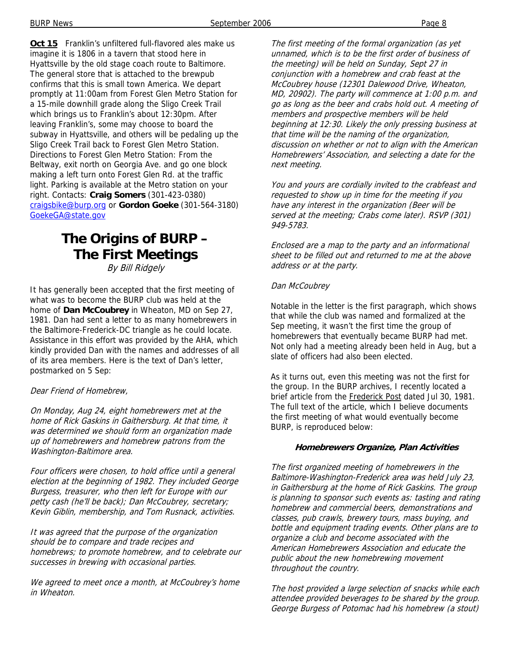**Oct 15** Franklin's unfiltered full-flavored ales make us imagine it is 1806 in a tavern that stood here in Hyattsville by the old stage coach route to Baltimore. The general store that is attached to the brewpub confirms that this is small town America. We depart promptly at 11:00am from Forest Glen Metro Station for a 15-mile downhill grade along the Sligo Creek Trail which brings us to Franklin's about 12:30pm. After leaving Franklin's, some may choose to board the subway in Hyattsville, and others will be pedaling up the Sligo Creek Trail back to Forest Glen Metro Station. Directions to Forest Glen Metro Station: From the Beltway, exit north on Georgia Ave. and go one block making a left turn onto Forest Glen Rd. at the traffic light. Parking is available at the Metro station on your right. Contacts: **Craig Somers** (301-423-0380) craigsbike@burp.org or **Gordon Goeke** (301-564-3180) GoekeGA@state.gov

### **The Origins of BURP – The First Meetings**  By Bill Ridgely

It has generally been accepted that the first meeting of what was to become the BURP club was held at the home of **Dan McCoubrey** in Wheaton, MD on Sep 27, 1981. Dan had sent a letter to as many homebrewers in the Baltimore-Frederick-DC triangle as he could locate. Assistance in this effort was provided by the AHA, which kindly provided Dan with the names and addresses of all of its area members. Here is the text of Dan's letter, postmarked on 5 Sep:

#### Dear Friend of Homebrew,

On Monday, Aug 24, eight homebrewers met at the home of Rick Gaskins in Gaithersburg. At that time, it was determined we should form an organization made up of homebrewers and homebrew patrons from the Washington-Baltimore area.

Four officers were chosen, to hold office until a general election at the beginning of 1982. They included George Burgess, treasurer, who then left for Europe with our petty cash (he'll be back); Dan McCoubrey, secretary; Kevin Giblin, membership, and Tom Rusnack, activities.

It was agreed that the purpose of the organization should be to compare and trade recipes and homebrews; to promote homebrew, and to celebrate our successes in brewing with occasional parties.

We agreed to meet once a month, at McCoubrey's home in Wheaton.

The first meeting of the formal organization (as yet unnamed, which is to be the first order of business of the meeting) will be held on Sunday, Sept 27 in conjunction with a homebrew and crab feast at the McCoubrey house (12301 Dalewood Drive, Wheaton, MD, 20902). The party will commence at 1:00 p.m. and go as long as the beer and crabs hold out. A meeting of members and prospective members will be held beginning at 12:30. Likely the only pressing business at that time will be the naming of the organization, discussion on whether or not to align with the American Homebrewers' Association, and selecting a date for the next meeting.

You and yours are cordially invited to the crabfeast and requested to show up in time for the meeting if you have any interest in the organization (Beer will be served at the meeting; Crabs come later). RSVP (301) 949-5783.

Enclosed are a map to the party and an informational sheet to be filled out and returned to me at the above address or at the party.

#### Dan McCoubrey

Notable in the letter is the first paragraph, which shows that while the club was named and formalized at the Sep meeting, it wasn't the first time the group of homebrewers that eventually became BURP had met. Not only had a meeting already been held in Aug, but a slate of officers had also been elected.

As it turns out, even this meeting was not the first for the group. In the BURP archives, I recently located a brief article from the Frederick Post dated Jul 30, 1981. The full text of the article, which I believe documents the first meeting of what would eventually become BURP, is reproduced below:

#### **Homebrewers Organize, Plan Activities**

The first organized meeting of homebrewers in the Baltimore-Washington-Frederick area was held July 23, in Gaithersburg at the home of Rick Gaskins. The group is planning to sponsor such events as: tasting and rating homebrew and commercial beers, demonstrations and classes, pub crawls, brewery tours, mass buying, and bottle and equipment trading events. Other plans are to organize a club and become associated with the American Homebrewers Association and educate the public about the new homebrewing movement throughout the country.

The host provided a large selection of snacks while each attendee provided beverages to be shared by the group. George Burgess of Potomac had his homebrew (a stout)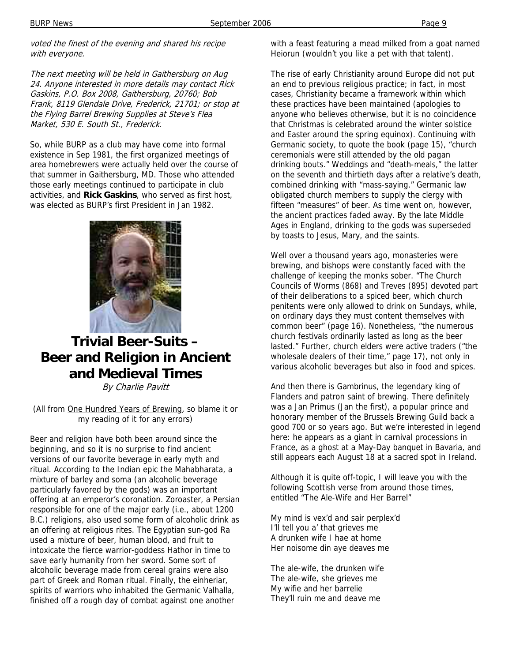voted the finest of the evening and shared his recipe with everyone.

The next meeting will be held in Gaithersburg on Aug 24. Anyone interested in more details may contact Rick Gaskins, P.O. Box 2008, Gaithersburg, 20760; Bob Frank, 8119 Glendale Drive, Frederick, 21701; or stop at the Flying Barrel Brewing Supplies at Steve's Flea Market, 530 E. South St., Frederick.

So, while BURP as a club may have come into formal existence in Sep 1981, the first organized meetings of area homebrewers were actually held over the course of that summer in Gaithersburg, MD. Those who attended those early meetings continued to participate in club activities, and **Rick Gaskins**, who served as first host, was elected as BURP's first President in Jan 1982.



# **Trivial Beer-Suits – Beer and Religion in Ancient and Medieval Times**

By Charlie Pavitt

(All from One Hundred Years of Brewing, so blame it or my reading of it for any errors)

Beer and religion have both been around since the beginning, and so it is no surprise to find ancient versions of our favorite beverage in early myth and ritual. According to the Indian epic the Mahabharata, a mixture of barley and soma (an alcoholic beverage particularly favored by the gods) was an important offering at an emperor's coronation. Zoroaster, a Persian responsible for one of the major early (i.e., about 1200 B.C.) religions, also used some form of alcoholic drink as an offering at religious rites. The Egyptian sun-god Ra used a mixture of beer, human blood, and fruit to intoxicate the fierce warrior-goddess Hathor in time to save early humanity from her sword. Some sort of alcoholic beverage made from cereal grains were also part of Greek and Roman ritual. Finally, the einheriar, spirits of warriors who inhabited the Germanic Valhalla, finished off a rough day of combat against one another

with a feast featuring a mead milked from a goat named Heiorun (wouldn't you like a pet with that talent).

The rise of early Christianity around Europe did not put an end to previous religious practice; in fact, in most cases, Christianity became a framework within which these practices have been maintained (apologies to anyone who believes otherwise, but it is no coincidence that Christmas is celebrated around the winter solstice and Easter around the spring equinox). Continuing with Germanic society, to quote the book (page 15), "church ceremonials were still attended by the old pagan drinking bouts." Weddings and "death-meals," the latter on the seventh and thirtieth days after a relative's death, combined drinking with "mass-saying." Germanic law obligated church members to supply the clergy with fifteen "measures" of beer. As time went on, however, the ancient practices faded away. By the late Middle Ages in England, drinking to the gods was superseded by toasts to Jesus, Mary, and the saints.

Well over a thousand years ago, monasteries were brewing, and bishops were constantly faced with the challenge of keeping the monks sober. "The Church Councils of Worms (868) and Treves (895) devoted part of their deliberations to a spiced beer, which church penitents were only allowed to drink on Sundays, while, on ordinary days they must content themselves with common beer" (page 16). Nonetheless, "the numerous church festivals ordinarily lasted as long as the beer lasted." Further, church elders were active traders ("the wholesale dealers of their time," page 17), not only in various alcoholic beverages but also in food and spices.

And then there is Gambrinus, the legendary king of Flanders and patron saint of brewing. There definitely was a Jan Primus (Jan the first), a popular prince and honorary member of the Brussels Brewing Guild back a good 700 or so years ago. But we're interested in legend here: he appears as a giant in carnival processions in France, as a ghost at a May-Day banquet in Bavaria, and still appears each August 18 at a sacred spot in Ireland.

Although it is quite off-topic, I will leave you with the following Scottish verse from around those times, entitled "The Ale-Wife and Her Barrel"

My mind is vex'd and sair perplex'd I'll tell you a' that grieves me A drunken wife I hae at home Her noisome din aye deaves me

The ale-wife, the drunken wife The ale-wife, she grieves me My wifie and her barrelie They'll ruin me and deave me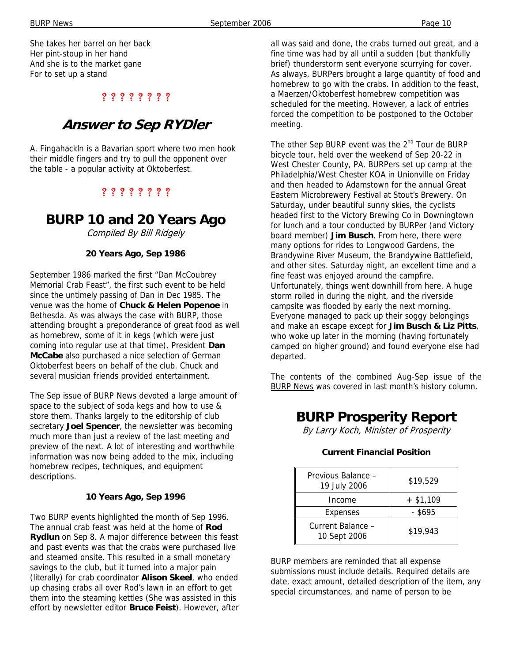BURP News **September 2006** Page 10

She takes her barrel on her back Her pint-stoup in her hand And she is to the market gane For to set up a stand

### ? ? ? ? ? ? ? ?

### **Answer to Sep RYDler**

A. Fingahackln is a Bavarian sport where two men hook their middle fingers and try to pull the opponent over the table - a popular activity at Oktoberfest.

### ? ? ? ? ? ? ? ?

### **BURP 10 and 20 Years Ago**

Compiled By Bill Ridgely

#### **20 Years Ago, Sep 1986**

September 1986 marked the first "Dan McCoubrey Memorial Crab Feast", the first such event to be held since the untimely passing of Dan in Dec 1985. The venue was the home of **Chuck & Helen Popenoe** in Bethesda. As was always the case with BURP, those attending brought a preponderance of great food as well as homebrew, some of it in kegs (which were just coming into regular use at that time). President **Dan McCabe** also purchased a nice selection of German Oktoberfest beers on behalf of the club. Chuck and several musician friends provided entertainment.

The Sep issue of **BURP News** devoted a large amount of space to the subject of soda kegs and how to use & store them. Thanks largely to the editorship of club secretary **Joel Spencer**, the newsletter was becoming much more than just a review of the last meeting and preview of the next. A lot of interesting and worthwhile information was now being added to the mix, including homebrew recipes, techniques, and equipment descriptions.

#### **10 Years Ago, Sep 1996**

Two BURP events highlighted the month of Sep 1996. The annual crab feast was held at the home of **Rod Rydlun** on Sep 8. A major difference between this feast and past events was that the crabs were purchased live and steamed onsite. This resulted in a small monetary savings to the club, but it turned into a major pain (literally) for crab coordinator **Alison Skeel**, who ended up chasing crabs all over Rod's lawn in an effort to get them into the steaming kettles (She was assisted in this effort by newsletter editor **Bruce Feist**). However, after all was said and done, the crabs turned out great, and a fine time was had by all until a sudden (but thankfully brief) thunderstorm sent everyone scurrying for cover. As always, BURPers brought a large quantity of food and homebrew to go with the crabs. In addition to the feast, a Maerzen/Oktoberfest homebrew competition was scheduled for the meeting. However, a lack of entries forced the competition to be postponed to the October meeting.

The other Sep BURP event was the 2<sup>nd</sup> Tour de BURP bicycle tour, held over the weekend of Sep 20-22 in West Chester County, PA. BURPers set up camp at the Philadelphia/West Chester KOA in Unionville on Friday and then headed to Adamstown for the annual Great Eastern Microbrewery Festival at Stout's Brewery. On Saturday, under beautiful sunny skies, the cyclists headed first to the Victory Brewing Co in Downingtown for lunch and a tour conducted by BURPer (and Victory board member) **Jim Busch**. From here, there were many options for rides to Longwood Gardens, the Brandywine River Museum, the Brandywine Battlefield, and other sites. Saturday night, an excellent time and a fine feast was enjoyed around the campfire. Unfortunately, things went downhill from here. A huge storm rolled in during the night, and the riverside campsite was flooded by early the next morning. Everyone managed to pack up their soggy belongings and make an escape except for **Jim Busch & Liz Pitts**, who woke up later in the morning (having fortunately camped on higher ground) and found everyone else had departed.

The contents of the combined Aug-Sep issue of the **BURP News was covered in last month's history column.** 

### **BURP Prosperity Report**

By Larry Koch, Minister of Prosperity

### Previous Balance –  $\frac{19 \text{ July } 2006}{19 \text{ July } 2006}$  \$19,529  $Income + $1,109$  $Express$   $- $695$ Current Balance –  $\frac{1}{10}$  Sept 2006  $\frac{1}{10}$  \$19,943

#### **Current Financial Position**

BURP members are reminded that all expense submissions must include details. Required details are date, exact amount, detailed description of the item, any special circumstances, and name of person to be